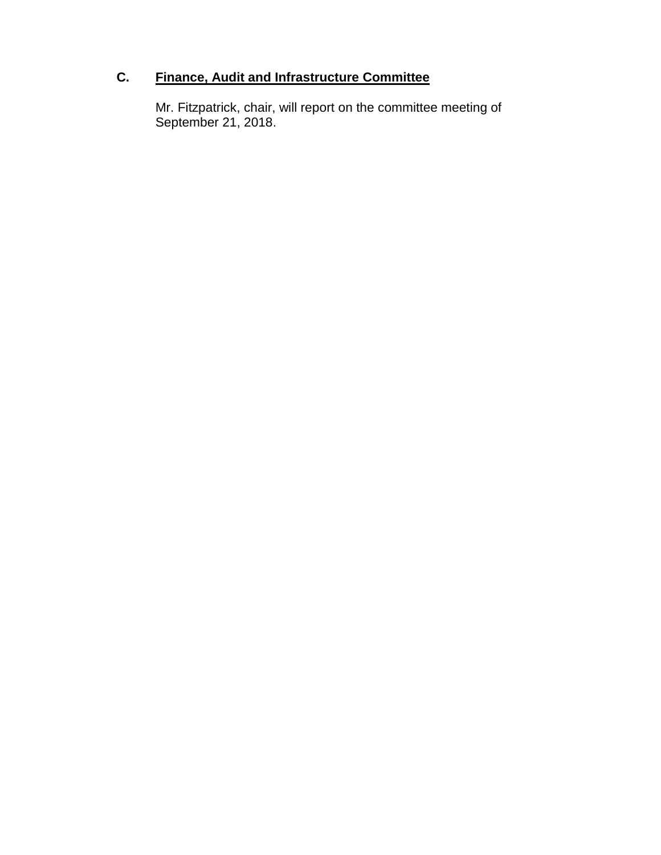# **C. Finance, Audit and Infrastructure Committee**

Mr. Fitzpatrick, chair, will report on the committee meeting of September 21, 2018.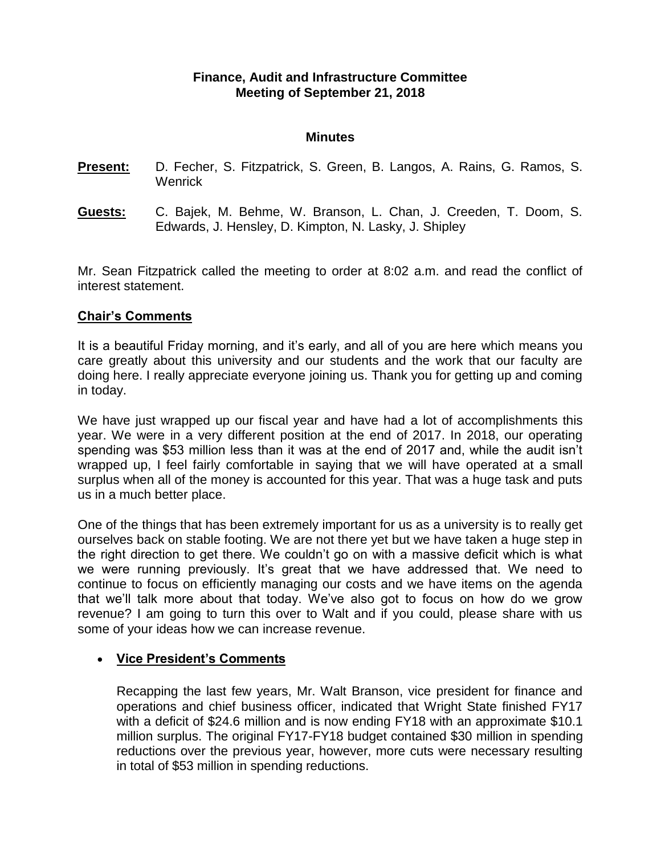### **Finance, Audit and Infrastructure Committee Meeting of September 21, 2018**

#### **Minutes**

- **Present:** D. Fecher, S. Fitzpatrick, S. Green, B. Langos, A. Rains, G. Ramos, S. **Wenrick**
- **Guests:** C. Bajek, M. Behme, W. Branson, L. Chan, J. Creeden, T. Doom, S. Edwards, J. Hensley, D. Kimpton, N. Lasky, J. Shipley

Mr. Sean Fitzpatrick called the meeting to order at 8:02 a.m. and read the conflict of interest statement.

### **Chair's Comments**

It is a beautiful Friday morning, and it's early, and all of you are here which means you care greatly about this university and our students and the work that our faculty are doing here. I really appreciate everyone joining us. Thank you for getting up and coming in today.

We have just wrapped up our fiscal year and have had a lot of accomplishments this year. We were in a very different position at the end of 2017. In 2018, our operating spending was \$53 million less than it was at the end of 2017 and, while the audit isn't wrapped up, I feel fairly comfortable in saying that we will have operated at a small surplus when all of the money is accounted for this year. That was a huge task and puts us in a much better place.

One of the things that has been extremely important for us as a university is to really get ourselves back on stable footing. We are not there yet but we have taken a huge step in the right direction to get there. We couldn't go on with a massive deficit which is what we were running previously. It's great that we have addressed that. We need to continue to focus on efficiently managing our costs and we have items on the agenda that we'll talk more about that today. We've also got to focus on how do we grow revenue? I am going to turn this over to Walt and if you could, please share with us some of your ideas how we can increase revenue.

### **Vice President's Comments**

Recapping the last few years, Mr. Walt Branson, vice president for finance and operations and chief business officer, indicated that Wright State finished FY17 with a deficit of \$24.6 million and is now ending FY18 with an approximate \$10.1 million surplus. The original FY17-FY18 budget contained \$30 million in spending reductions over the previous year, however, more cuts were necessary resulting in total of \$53 million in spending reductions.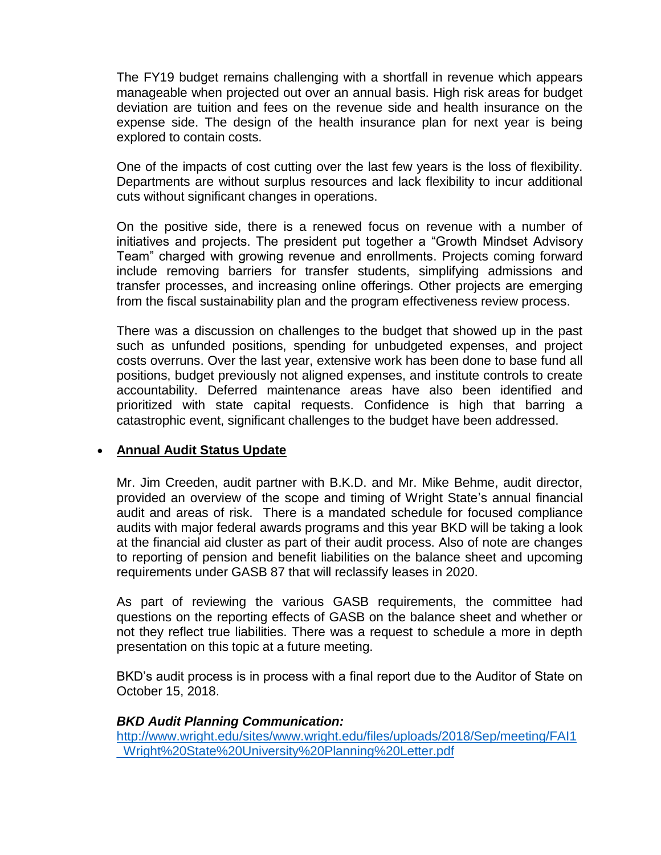The FY19 budget remains challenging with a shortfall in revenue which appears manageable when projected out over an annual basis. High risk areas for budget deviation are tuition and fees on the revenue side and health insurance on the expense side. The design of the health insurance plan for next year is being explored to contain costs.

One of the impacts of cost cutting over the last few years is the loss of flexibility. Departments are without surplus resources and lack flexibility to incur additional cuts without significant changes in operations.

On the positive side, there is a renewed focus on revenue with a number of initiatives and projects. The president put together a "Growth Mindset Advisory Team" charged with growing revenue and enrollments. Projects coming forward include removing barriers for transfer students, simplifying admissions and transfer processes, and increasing online offerings. Other projects are emerging from the fiscal sustainability plan and the program effectiveness review process.

There was a discussion on challenges to the budget that showed up in the past such as unfunded positions, spending for unbudgeted expenses, and project costs overruns. Over the last year, extensive work has been done to base fund all positions, budget previously not aligned expenses, and institute controls to create accountability. Deferred maintenance areas have also been identified and prioritized with state capital requests. Confidence is high that barring a catastrophic event, significant challenges to the budget have been addressed.

### **Annual Audit Status Update**

Mr. Jim Creeden, audit partner with B.K.D. and Mr. Mike Behme, audit director, provided an overview of the scope and timing of Wright State's annual financial audit and areas of risk. There is a mandated schedule for focused compliance audits with major federal awards programs and this year BKD will be taking a look at the financial aid cluster as part of their audit process. Also of note are changes to reporting of pension and benefit liabilities on the balance sheet and upcoming requirements under GASB 87 that will reclassify leases in 2020.

As part of reviewing the various GASB requirements, the committee had questions on the reporting effects of GASB on the balance sheet and whether or not they reflect true liabilities. There was a request to schedule a more in depth presentation on this topic at a future meeting.

BKD's audit process is in process with a final report due to the Auditor of State on October 15, 2018.

### *BKD Audit Planning Communication:*

[http://www.wright.edu/sites/www.wright.edu/files/uploads/2018/Sep/meeting/FAI1](http://www.wright.edu/sites/www.wright.edu/files/uploads/2018/Sep/meeting/FAI1_Wright%20State%20University%20Planning%20Letter.pdf) [\\_Wright%20State%20University%20Planning%20Letter.pdf](http://www.wright.edu/sites/www.wright.edu/files/uploads/2018/Sep/meeting/FAI1_Wright%20State%20University%20Planning%20Letter.pdf)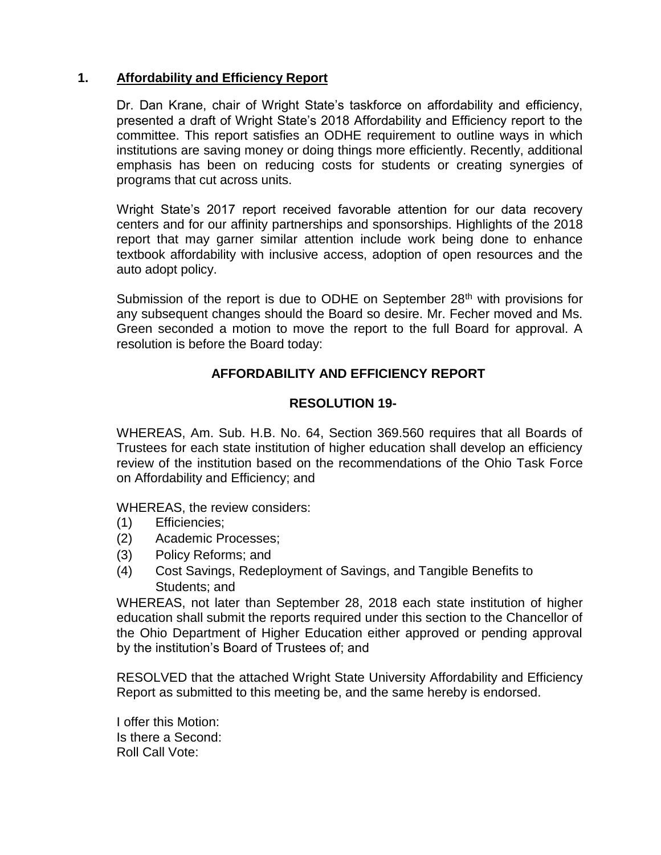### **1. Affordability and Efficiency Report**

Dr. Dan Krane, chair of Wright State's taskforce on affordability and efficiency, presented a draft of Wright State's 2018 Affordability and Efficiency report to the committee. This report satisfies an ODHE requirement to outline ways in which institutions are saving money or doing things more efficiently. Recently, additional emphasis has been on reducing costs for students or creating synergies of programs that cut across units.

Wright State's 2017 report received favorable attention for our data recovery centers and for our affinity partnerships and sponsorships. Highlights of the 2018 report that may garner similar attention include work being done to enhance textbook affordability with inclusive access, adoption of open resources and the auto adopt policy.

Submission of the report is due to ODHE on September  $28<sup>th</sup>$  with provisions for any subsequent changes should the Board so desire. Mr. Fecher moved and Ms. Green seconded a motion to move the report to the full Board for approval. A resolution is before the Board today:

# **AFFORDABILITY AND EFFICIENCY REPORT**

### **RESOLUTION 19-**

WHEREAS, Am. Sub. H.B. No. 64, Section 369.560 requires that all Boards of Trustees for each state institution of higher education shall develop an efficiency review of the institution based on the recommendations of the Ohio Task Force on Affordability and Efficiency; and

WHEREAS, the review considers:

- (1) Efficiencies;
- (2) Academic Processes;
- (3) Policy Reforms; and
- (4) Cost Savings, Redeployment of Savings, and Tangible Benefits to Students; and

WHEREAS, not later than September 28, 2018 each state institution of higher education shall submit the reports required under this section to the Chancellor of the Ohio Department of Higher Education either approved or pending approval by the institution's Board of Trustees of; and

RESOLVED that the attached Wright State University Affordability and Efficiency Report as submitted to this meeting be, and the same hereby is endorsed.

I offer this Motion: Is there a Second: Roll Call Vote: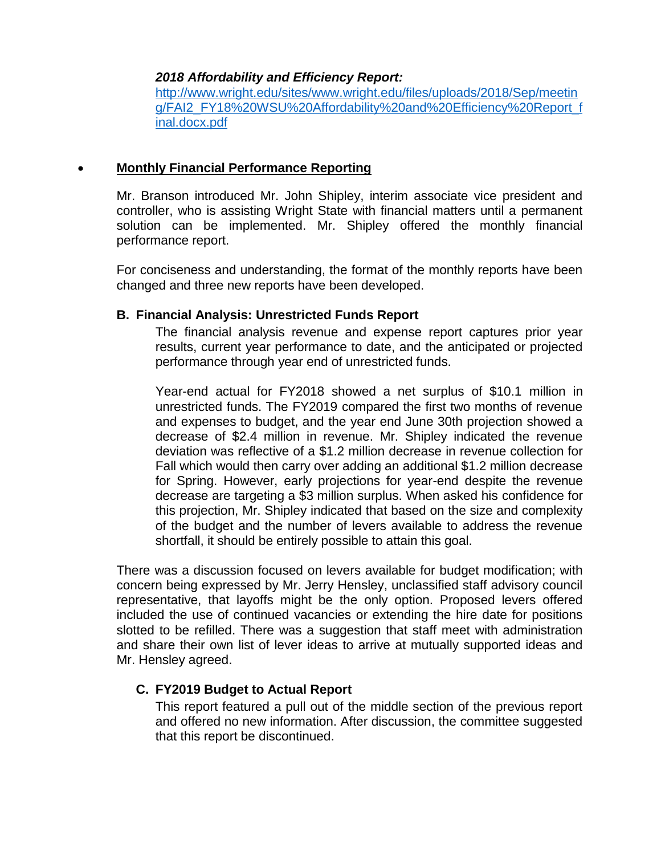#### *2018 Affordability and Efficiency Report:*

[http://www.wright.edu/sites/www.wright.edu/files/uploads/2018/Sep/meetin](http://www.wright.edu/sites/www.wright.edu/files/uploads/2018/Sep/meeting/FAI2_FY18%20WSU%20Affordability%20and%20Efficiency%20Report_final.docx.pdf) [g/FAI2\\_FY18%20WSU%20Affordability%20and%20Efficiency%20Report\\_f](http://www.wright.edu/sites/www.wright.edu/files/uploads/2018/Sep/meeting/FAI2_FY18%20WSU%20Affordability%20and%20Efficiency%20Report_final.docx.pdf) [inal.docx.pdf](http://www.wright.edu/sites/www.wright.edu/files/uploads/2018/Sep/meeting/FAI2_FY18%20WSU%20Affordability%20and%20Efficiency%20Report_final.docx.pdf)

### **Monthly Financial Performance Reporting**

Mr. Branson introduced Mr. John Shipley, interim associate vice president and controller, who is assisting Wright State with financial matters until a permanent solution can be implemented. Mr. Shipley offered the monthly financial performance report.

For conciseness and understanding, the format of the monthly reports have been changed and three new reports have been developed.

### **B. Financial Analysis: Unrestricted Funds Report**

The financial analysis revenue and expense report captures prior year results, current year performance to date, and the anticipated or projected performance through year end of unrestricted funds.

Year-end actual for FY2018 showed a net surplus of \$10.1 million in unrestricted funds. The FY2019 compared the first two months of revenue and expenses to budget, and the year end June 30th projection showed a decrease of \$2.4 million in revenue. Mr. Shipley indicated the revenue deviation was reflective of a \$1.2 million decrease in revenue collection for Fall which would then carry over adding an additional \$1.2 million decrease for Spring. However, early projections for year-end despite the revenue decrease are targeting a \$3 million surplus. When asked his confidence for this projection, Mr. Shipley indicated that based on the size and complexity of the budget and the number of levers available to address the revenue shortfall, it should be entirely possible to attain this goal.

There was a discussion focused on levers available for budget modification; with concern being expressed by Mr. Jerry Hensley, unclassified staff advisory council representative, that layoffs might be the only option. Proposed levers offered included the use of continued vacancies or extending the hire date for positions slotted to be refilled. There was a suggestion that staff meet with administration and share their own list of lever ideas to arrive at mutually supported ideas and Mr. Hensley agreed.

# **C. FY2019 Budget to Actual Report**

This report featured a pull out of the middle section of the previous report and offered no new information. After discussion, the committee suggested that this report be discontinued.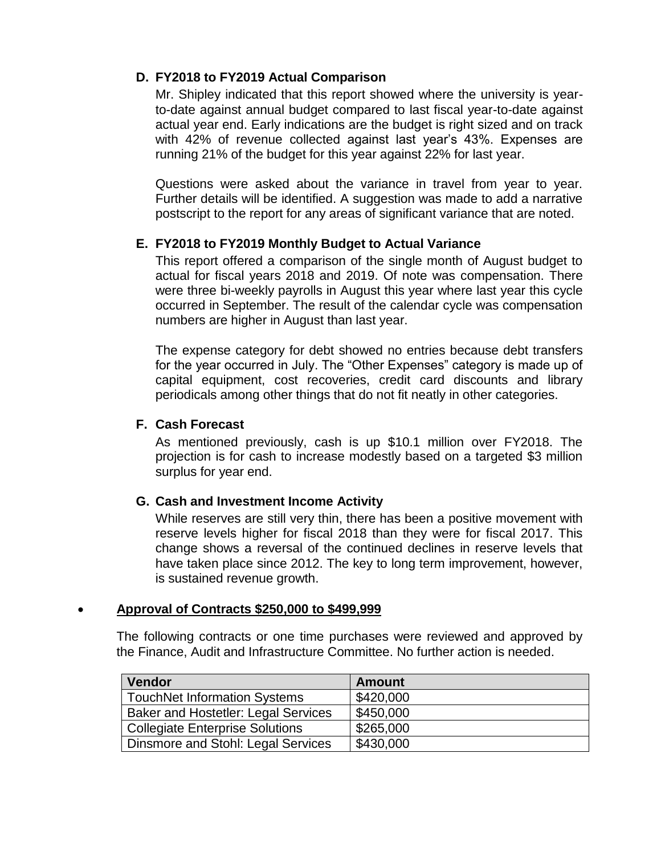### **D. FY2018 to FY2019 Actual Comparison**

Mr. Shipley indicated that this report showed where the university is yearto-date against annual budget compared to last fiscal year-to-date against actual year end. Early indications are the budget is right sized and on track with 42% of revenue collected against last year's 43%. Expenses are running 21% of the budget for this year against 22% for last year.

Questions were asked about the variance in travel from year to year. Further details will be identified. A suggestion was made to add a narrative postscript to the report for any areas of significant variance that are noted.

### **E. FY2018 to FY2019 Monthly Budget to Actual Variance**

This report offered a comparison of the single month of August budget to actual for fiscal years 2018 and 2019. Of note was compensation. There were three bi-weekly payrolls in August this year where last year this cycle occurred in September. The result of the calendar cycle was compensation numbers are higher in August than last year.

The expense category for debt showed no entries because debt transfers for the year occurred in July. The "Other Expenses" category is made up of capital equipment, cost recoveries, credit card discounts and library periodicals among other things that do not fit neatly in other categories.

### **F. Cash Forecast**

As mentioned previously, cash is up \$10.1 million over FY2018. The projection is for cash to increase modestly based on a targeted \$3 million surplus for year end.

### **G. Cash and Investment Income Activity**

While reserves are still very thin, there has been a positive movement with reserve levels higher for fiscal 2018 than they were for fiscal 2017. This change shows a reversal of the continued declines in reserve levels that have taken place since 2012. The key to long term improvement, however, is sustained revenue growth.

### **Approval of Contracts \$250,000 to \$499,999**

The following contracts or one time purchases were reviewed and approved by the Finance, Audit and Infrastructure Committee. No further action is needed.

| <b>Vendor</b>                              | <b>Amount</b> |
|--------------------------------------------|---------------|
| TouchNet Information Systems               | \$420,000     |
| <b>Baker and Hostetler: Legal Services</b> | \$450,000     |
| Collegiate Enterprise Solutions            | \$265,000     |
| Dinsmore and Stohl: Legal Services         | \$430,000     |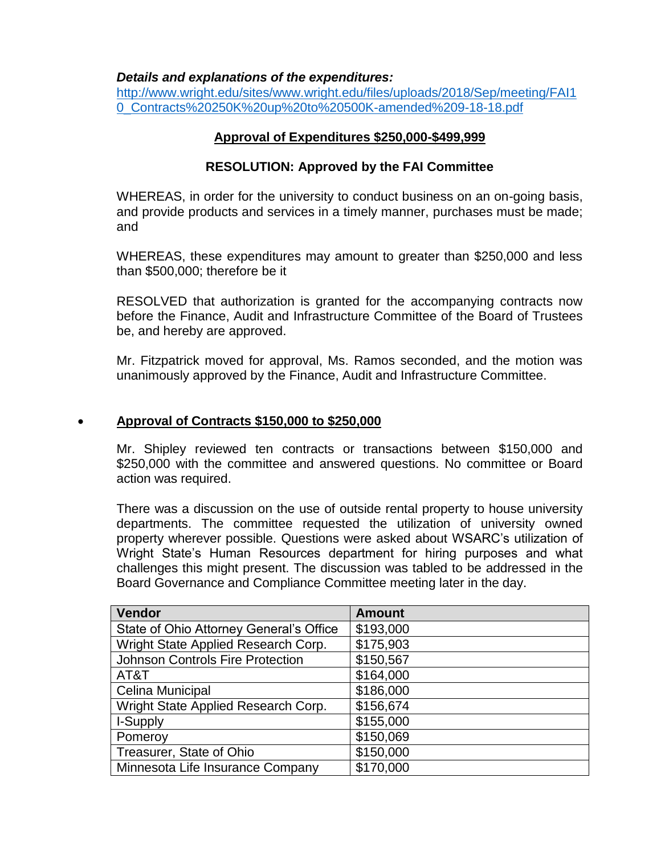#### *Details and explanations of the expenditures:*

[http://www.wright.edu/sites/www.wright.edu/files/uploads/2018/Sep/meeting/FAI1](http://www.wright.edu/sites/www.wright.edu/files/uploads/2018/Sep/meeting/FAI10_Contracts%20250K%20up%20to%20500K-amended%209-18-18.pdf) [0\\_Contracts%20250K%20up%20to%20500K-amended%209-18-18.pdf](http://www.wright.edu/sites/www.wright.edu/files/uploads/2018/Sep/meeting/FAI10_Contracts%20250K%20up%20to%20500K-amended%209-18-18.pdf)

### **Approval of Expenditures \$250,000-\$499,999**

### **RESOLUTION: Approved by the FAI Committee**

WHEREAS, in order for the university to conduct business on an on-going basis, and provide products and services in a timely manner, purchases must be made; and

WHEREAS, these expenditures may amount to greater than \$250,000 and less than \$500,000; therefore be it

RESOLVED that authorization is granted for the accompanying contracts now before the Finance, Audit and Infrastructure Committee of the Board of Trustees be, and hereby are approved.

Mr. Fitzpatrick moved for approval, Ms. Ramos seconded, and the motion was unanimously approved by the Finance, Audit and Infrastructure Committee.

### **Approval of Contracts \$150,000 to \$250,000**

Mr. Shipley reviewed ten contracts or transactions between \$150,000 and \$250,000 with the committee and answered questions. No committee or Board action was required.

There was a discussion on the use of outside rental property to house university departments. The committee requested the utilization of university owned property wherever possible. Questions were asked about WSARC's utilization of Wright State's Human Resources department for hiring purposes and what challenges this might present. The discussion was tabled to be addressed in the Board Governance and Compliance Committee meeting later in the day.

| Vendor                                  | <b>Amount</b> |
|-----------------------------------------|---------------|
| State of Ohio Attorney General's Office | \$193,000     |
| Wright State Applied Research Corp.     | \$175,903     |
| <b>Johnson Controls Fire Protection</b> | \$150,567     |
| AT&T                                    | \$164,000     |
| <b>Celina Municipal</b>                 | \$186,000     |
| Wright State Applied Research Corp.     | \$156,674     |
| I-Supply                                | \$155,000     |
| Pomeroy                                 | \$150,069     |
| Treasurer, State of Ohio                | \$150,000     |
| Minnesota Life Insurance Company        | \$170,000     |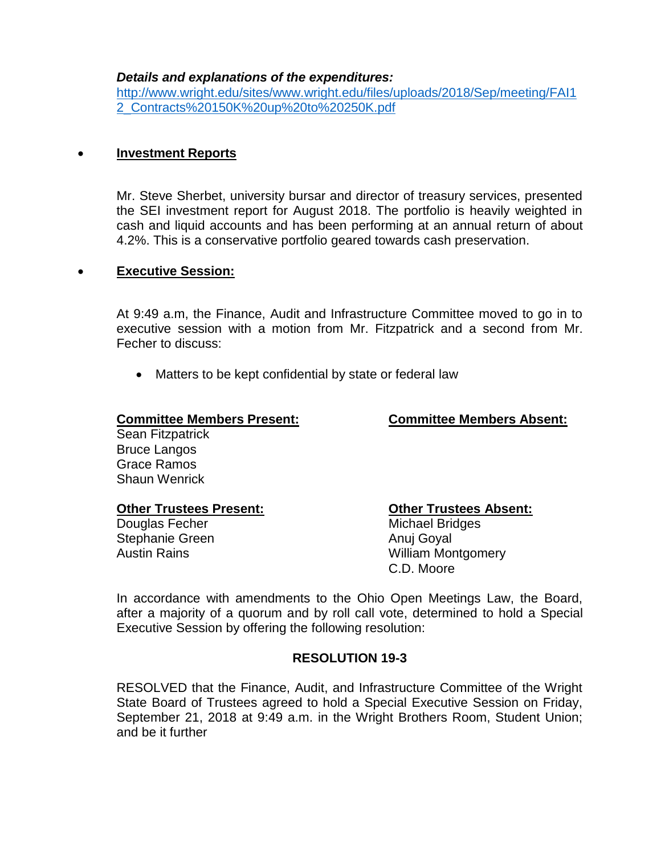#### *Details and explanations of the expenditures:*

[http://www.wright.edu/sites/www.wright.edu/files/uploads/2018/Sep/meeting/FAI1](http://www.wright.edu/sites/www.wright.edu/files/uploads/2018/Sep/meeting/FAI12_Contracts%20150K%20up%20to%20250K.pdf) [2\\_Contracts%20150K%20up%20to%20250K.pdf](http://www.wright.edu/sites/www.wright.edu/files/uploads/2018/Sep/meeting/FAI12_Contracts%20150K%20up%20to%20250K.pdf)

### **Investment Reports**

Mr. Steve Sherbet, university bursar and director of treasury services, presented the SEI investment report for August 2018. The portfolio is heavily weighted in cash and liquid accounts and has been performing at an annual return of about 4.2%. This is a conservative portfolio geared towards cash preservation.

#### **Executive Session:**

At 9:49 a.m, the Finance, Audit and Infrastructure Committee moved to go in to executive session with a motion from Mr. Fitzpatrick and a second from Mr. Fecher to discuss:

• Matters to be kept confidential by state or federal law

#### **Committee Members Present: Committee Members Absent:**

Sean Fitzpatrick Bruce Langos Grace Ramos Shaun Wenrick

#### **Other Trustees Present: Other Trustees Absent:**

Stephanie Green Anuj Goyal

Douglas Fecher Michael Bridges Austin Rains **Multiplant** William Montgomery C.D. Moore

In accordance with amendments to the Ohio Open Meetings Law, the Board, after a majority of a quorum and by roll call vote, determined to hold a Special Executive Session by offering the following resolution:

### **RESOLUTION 19-3**

RESOLVED that the Finance, Audit, and Infrastructure Committee of the Wright State Board of Trustees agreed to hold a Special Executive Session on Friday, September 21, 2018 at 9:49 a.m. in the Wright Brothers Room, Student Union; and be it further